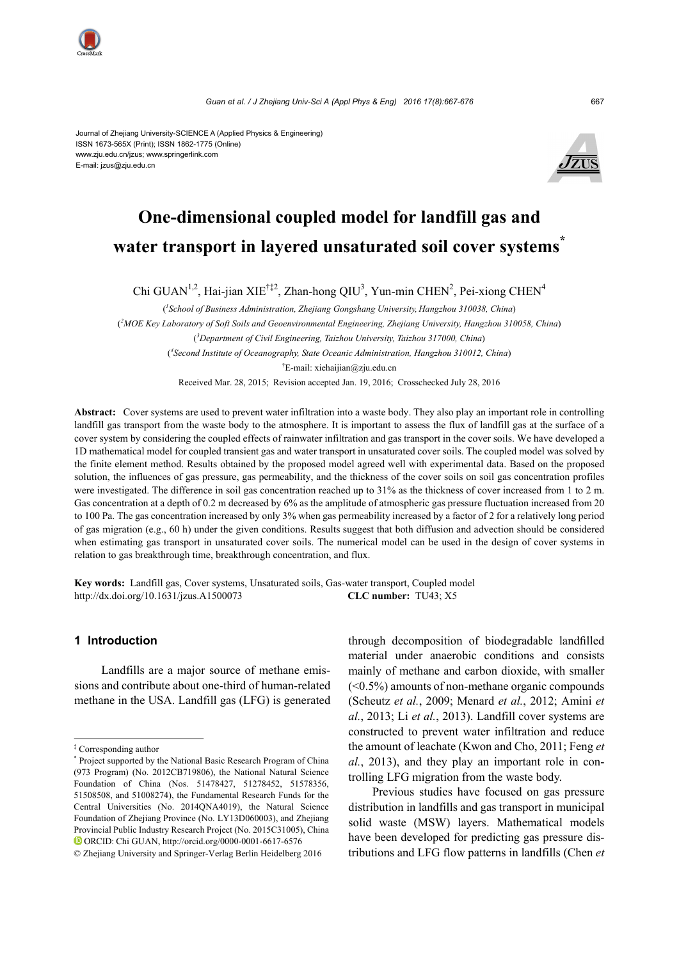

Journal of Zhejiang University-SCIENCE A (Applied Physics & Engineering) ISSN 1673-565X (Print); ISSN 1862-1775 (Online) www.zju.edu.cn/jzus; www.springerlink.com E-mail: jzus@zju.edu.cn



# **One-dimensional coupled model for landfill gas and water transport in layered unsaturated soil cover systems\***

Chi GUAN<sup>1,2</sup>, Hai-jian XIE<sup>†‡2</sup>, Zhan-hong QIU<sup>3</sup>, Yun-min CHEN<sup>2</sup>, Pei-xiong CHEN<sup>4</sup>

( *1 School of Business Administration, Zhejiang Gongshang University, Hangzhou 310038, China*) ( *2 MOE Key Laboratory of Soft Soils and Geoenvironmental Engineering, Zhejiang University, Hangzhou 310058, China*) ( *3 Department of Civil Engineering, Taizhou University, Taizhou 317000, China*) ( *4 Second Institute of Oceanography, State Oceanic Administration, Hangzhou 310012, China*) † E-mail: xiehaijian@zju.edu.cn

Received Mar. 28, 2015; Revision accepted Jan. 19, 2016; Crosschecked July 28, 2016

**Abstract:** Cover systems are used to prevent water infiltration into a waste body. They also play an important role in controlling landfill gas transport from the waste body to the atmosphere. It is important to assess the flux of landfill gas at the surface of a cover system by considering the coupled effects of rainwater infiltration and gas transport in the cover soils. We have developed a 1D mathematical model for coupled transient gas and water transport in unsaturated cover soils. The coupled model was solved by the finite element method. Results obtained by the proposed model agreed well with experimental data. Based on the proposed solution, the influences of gas pressure, gas permeability, and the thickness of the cover soils on soil gas concentration profiles were investigated. The difference in soil gas concentration reached up to 31% as the thickness of cover increased from 1 to 2 m. Gas concentration at a depth of 0.2 m decreased by 6% as the amplitude of atmospheric gas pressure fluctuation increased from 20 to 100 Pa. The gas concentration increased by only 3% when gas permeability increased by a factor of 2 for a relatively long period of gas migration (e.g., 60 h) under the given conditions. Results suggest that both diffusion and advection should be considered when estimating gas transport in unsaturated cover soils. The numerical model can be used in the design of cover systems in relation to gas breakthrough time, breakthrough concentration, and flux.

**Key words:** Landfill gas, Cover systems, Unsaturated soils, Gas-water transport, Coupled model http://dx.doi.org/10.1631/jzus.A1500073 **CLC number:** TU43; X5

## **1 Introduction**

Landfills are a major source of methane emissions and contribute about one-third of human-related methane in the USA. Landfill gas (LFG) is generated

through decomposition of biodegradable landfilled material under anaerobic conditions and consists mainly of methane and carbon dioxide, with smaller (<0.5%) amounts of non-methane organic compounds (Scheutz *et al.*, 2009; Menard *et al.*, 2012; Amini *et al.*, 2013; Li *et al.*, 2013). Landfill cover systems are constructed to prevent water infiltration and reduce the amount of leachate (Kwon and Cho, 2011; Feng *et al.*, 2013), and they play an important role in controlling LFG migration from the waste body.

Previous studies have focused on gas pressure distribution in landfills and gas transport in municipal solid waste (MSW) layers. Mathematical models have been developed for predicting gas pressure distributions and LFG flow patterns in landfills (Chen *et* 

<sup>‡</sup> Corresponding author

<sup>\*</sup> Project supported by the National Basic Research Program of China (973 Program) (No. 2012CB719806), the National Natural Science Foundation of China (Nos. 51478427, 51278452, 51578356, 51508508, and 51008274), the Fundamental Research Funds for the Central Universities (No. 2014QNA4019), the Natural Science Foundation of Zhejiang Province (No. LY13D060003), and Zhejiang Provincial Public Industry Research Project (No. 2015C31005), China ORCID: Chi GUAN, http://orcid.org/0000-0001-6617-6576

<sup>©</sup> Zhejiang University and Springer-Verlag Berlin Heidelberg 2016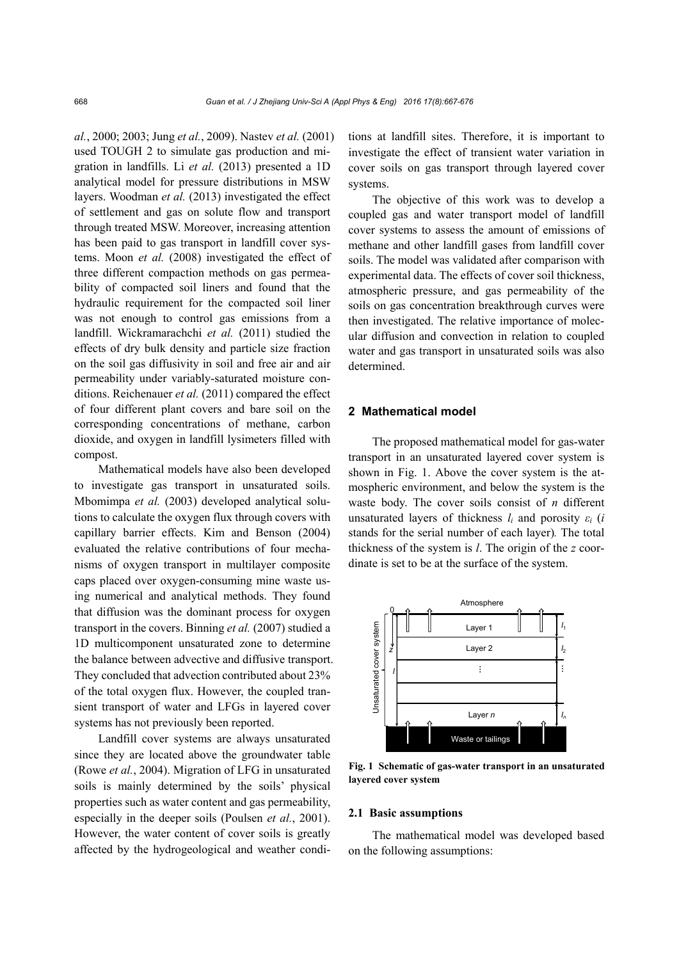*al.*, 2000; 2003; Jung *et al.*, 2009). Nastev *et al.* (2001) used TOUGH 2 to simulate gas production and migration in landfills. Li *et al.* (2013) presented a 1D analytical model for pressure distributions in MSW layers. Woodman *et al.* (2013) investigated the effect of settlement and gas on solute flow and transport through treated MSW. Moreover, increasing attention has been paid to gas transport in landfill cover systems. Moon *et al.* (2008) investigated the effect of three different compaction methods on gas permeability of compacted soil liners and found that the hydraulic requirement for the compacted soil liner was not enough to control gas emissions from a landfill. Wickramarachchi *et al.* (2011) studied the effects of dry bulk density and particle size fraction on the soil gas diffusivity in soil and free air and air permeability under variably-saturated moisture conditions. Reichenauer *et al.* (2011) compared the effect of four different plant covers and bare soil on the corresponding concentrations of methane, carbon dioxide, and oxygen in landfill lysimeters filled with compost.

Mathematical models have also been developed to investigate gas transport in unsaturated soils. Mbomimpa *et al.* (2003) developed analytical solutions to calculate the oxygen flux through covers with capillary barrier effects. Kim and Benson (2004) evaluated the relative contributions of four mechanisms of oxygen transport in multilayer composite caps placed over oxygen-consuming mine waste using numerical and analytical methods. They found that diffusion was the dominant process for oxygen transport in the covers. Binning *et al.* (2007) studied a 1D multicomponent unsaturated zone to determine the balance between advective and diffusive transport. They concluded that advection contributed about 23% of the total oxygen flux. However, the coupled transient transport of water and LFGs in layered cover systems has not previously been reported.

Landfill cover systems are always unsaturated since they are located above the groundwater table (Rowe *et al.*, 2004). Migration of LFG in unsaturated soils is mainly determined by the soils' physical properties such as water content and gas permeability, especially in the deeper soils (Poulsen *et al.*, 2001). However, the water content of cover soils is greatly affected by the hydrogeological and weather conditions at landfill sites. Therefore, it is important to investigate the effect of transient water variation in cover soils on gas transport through layered cover systems.

The objective of this work was to develop a coupled gas and water transport model of landfill cover systems to assess the amount of emissions of methane and other landfill gases from landfill cover soils. The model was validated after comparison with experimental data. The effects of cover soil thickness, atmospheric pressure, and gas permeability of the soils on gas concentration breakthrough curves were then investigated. The relative importance of molecular diffusion and convection in relation to coupled water and gas transport in unsaturated soils was also determined.

## **2 Mathematical model**

The proposed mathematical model for gas-water transport in an unsaturated layered cover system is shown in Fig. 1. Above the cover system is the atmospheric environment, and below the system is the waste body. The cover soils consist of *n* different unsaturated layers of thickness *li* and porosity *εi* (*i*  stands for the serial number of each layer)*.* The total thickness of the system is *l*. The origin of the *z* coordinate is set to be at the surface of the system.



**Fig. 1 Schematic of gas-water transport in an unsaturated layered cover system** 

#### **2.1 Basic assumptions**

The mathematical model was developed based on the following assumptions: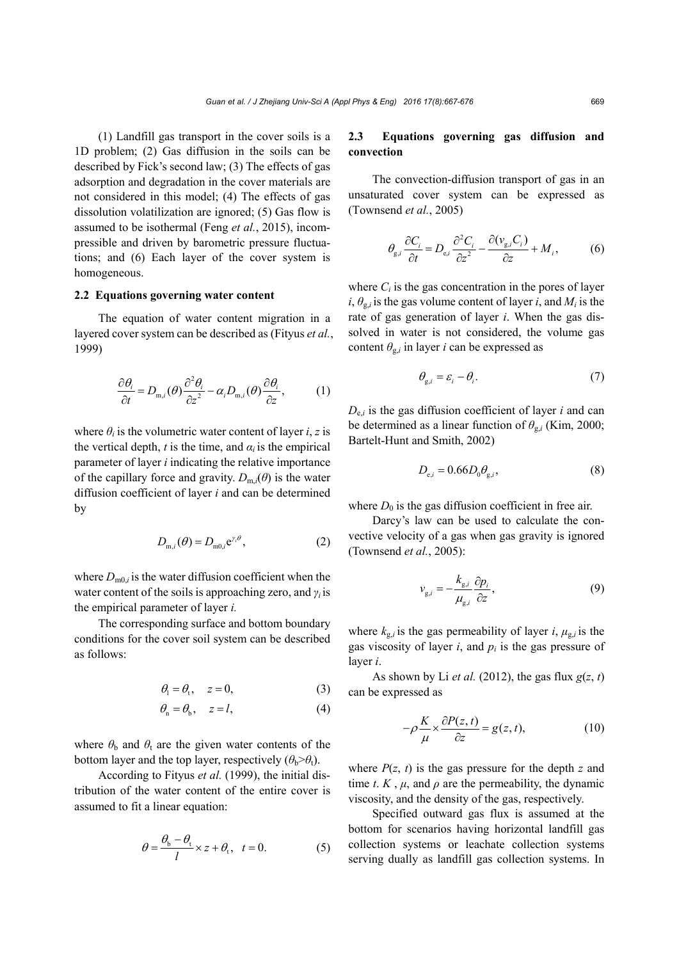(1) Landfill gas transport in the cover soils is a 1D problem; (2) Gas diffusion in the soils can be described by Fick's second law; (3) The effects of gas adsorption and degradation in the cover materials are not considered in this model; (4) The effects of gas dissolution volatilization are ignored; (5) Gas flow is assumed to be isothermal (Feng *et al.*, 2015), incompressible and driven by barometric pressure fluctuations; and (6) Each layer of the cover system is homogeneous.

# **2.2 Equations governing water content**

The equation of water content migration in a layered cover system can be described as (Fityus *et al.*, 1999)

$$
\frac{\partial \theta_i}{\partial t} = D_{m,i}(\theta) \frac{\partial^2 \theta_i}{\partial z^2} - \alpha_i D_{m,i}(\theta) \frac{\partial \theta_i}{\partial z},\tag{1}
$$

where  $\theta_i$  is the volumetric water content of layer *i*, *z* is the vertical depth, *t* is the time, and  $\alpha_i$  is the empirical parameter of layer *i* indicating the relative importance of the capillary force and gravity.  $D_{m,i}(\theta)$  is the water diffusion coefficient of layer *i* and can be determined by

$$
D_{\mathbf{m},i}(\theta) = D_{\mathbf{m}0,i} \mathbf{e}^{\gamma_i \theta},\tag{2}
$$

where  $D_{m0,i}$  is the water diffusion coefficient when the water content of the soils is approaching zero, and *γi* is the empirical parameter of layer *i.*

The corresponding surface and bottom boundary conditions for the cover soil system can be described as follows:

$$
\theta_1 = \theta_t, \quad z = 0,\tag{3}
$$

$$
\theta_{n} = \theta_{b}, \quad z = l, \tag{4}
$$

where  $\theta_b$  and  $\theta_t$  are the given water contents of the bottom layer and the top layer, respectively  $(\theta_b > \theta_t)$ .

According to Fityus *et al.* (1999), the initial distribution of the water content of the entire cover is assumed to fit a linear equation:

$$
\theta = \frac{\theta_{\rm b} - \theta_{\rm t}}{l} \times z + \theta_{\rm t}, \quad t = 0.
$$
 (5)

# **2.3 Equations governing gas diffusion and convection**

The convection-diffusion transport of gas in an unsaturated cover system can be expressed as (Townsend *et al.*, 2005)

$$
\theta_{g,i} \frac{\partial C_i}{\partial t} = D_{e,i} \frac{\partial^2 C_i}{\partial z^2} - \frac{\partial (\nu_{g,i} C_i)}{\partial z} + M_i, \tag{6}
$$

where  $C_i$  is the gas concentration in the pores of layer  $i, \theta_{g,i}$  is the gas volume content of layer *i*, and  $M_i$  is the rate of gas generation of layer *i*. When the gas dissolved in water is not considered, the volume gas content  $\theta_{g,i}$  in layer *i* can be expressed as

$$
\theta_{g,i} = \varepsilon_i - \theta_i. \tag{7}
$$

 $D_{e,i}$  is the gas diffusion coefficient of layer *i* and can be determined as a linear function of  $\theta_{g,i}$  (Kim, 2000; Bartelt-Hunt and Smith, 2002)

$$
D_{\mathrm{e},i} = 0.66 D_0 \theta_{\mathrm{g},i},\tag{8}
$$

where  $D_0$  is the gas diffusion coefficient in free air.

Darcy's law can be used to calculate the convective velocity of a gas when gas gravity is ignored (Townsend *et al.*, 2005):

$$
v_{g,i} = -\frac{k_{g,i}}{\mu_{g,i}} \frac{\partial p_i}{\partial z},\tag{9}
$$

where  $k_{g,i}$  is the gas permeability of layer *i*,  $\mu_{g,i}$  is the gas viscosity of layer  $i$ , and  $p_i$  is the gas pressure of layer *i*.

As shown by Li *et al.* (2012), the gas flux  $g(z, t)$ can be expressed as

$$
-\rho \frac{K}{\mu} \times \frac{\partial P(z,t)}{\partial z} = g(z,t),\tag{10}
$$

where  $P(z, t)$  is the gas pressure for the depth *z* and time *t*. *K*,  $\mu$ , and  $\rho$  are the permeability, the dynamic viscosity, and the density of the gas, respectively.

Specified outward gas flux is assumed at the bottom for scenarios having horizontal landfill gas collection systems or leachate collection systems serving dually as landfill gas collection systems. In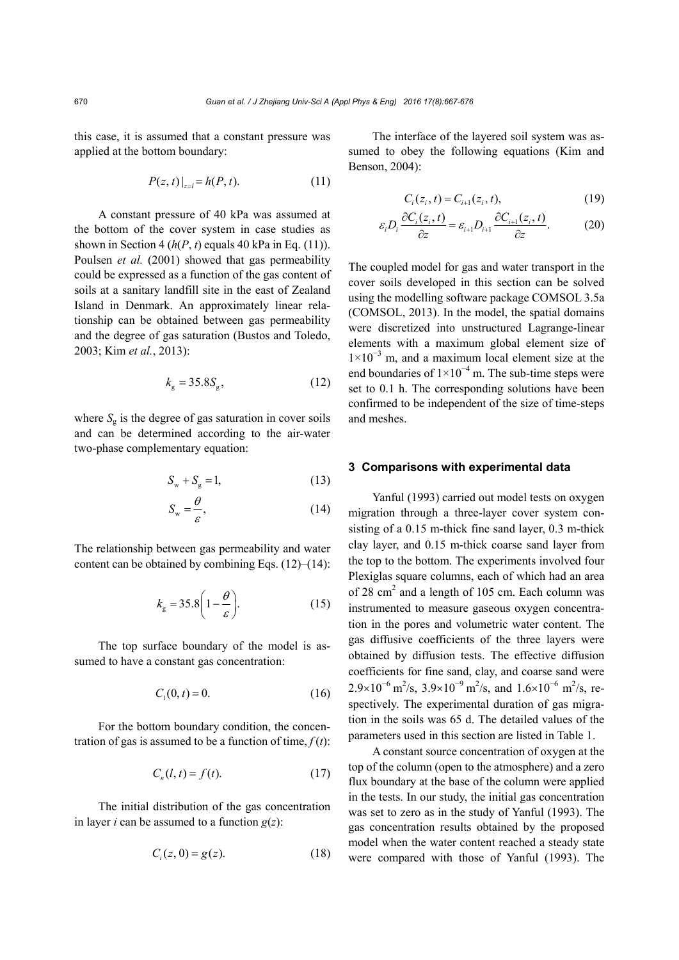this case, it is assumed that a constant pressure was applied at the bottom boundary:

$$
P(z, t)|_{z=l} = h(P, t). \tag{11}
$$

A constant pressure of 40 kPa was assumed at the bottom of the cover system in case studies as shown in Section 4 ( $h(P, t)$ ) equals 40 kPa in Eq. (11)). Poulsen *et al.* (2001) showed that gas permeability could be expressed as a function of the gas content of soils at a sanitary landfill site in the east of Zealand Island in Denmark. An approximately linear relationship can be obtained between gas permeability and the degree of gas saturation (Bustos and Toledo, 2003; Kim *et al.*, 2013):

$$
k_{\rm g} = 35.8S_{\rm g},\tag{12}
$$

where  $S_g$  is the degree of gas saturation in cover soils and can be determined according to the air-water two-phase complementary equation:

$$
S_{\rm w} + S_{\rm g} = 1,\tag{13}
$$

$$
S_{\rm w} = \frac{\theta}{\varepsilon},\tag{14}
$$

The relationship between gas permeability and water content can be obtained by combining Eqs. (12)–(14):

$$
k_{\rm g} = 35.8 \left( 1 - \frac{\theta}{\varepsilon} \right). \tag{15}
$$

The top surface boundary of the model is assumed to have a constant gas concentration:

$$
C_1(0, t) = 0. \t(16)
$$

For the bottom boundary condition, the concentration of gas is assumed to be a function of time,  $f(t)$ :

$$
C_n(l, t) = f(t). \tag{17}
$$

The initial distribution of the gas concentration in layer *i* can be assumed to a function  $g(z)$ :

$$
C_i(z,0) = g(z). \tag{18}
$$

The interface of the layered soil system was assumed to obey the following equations (Kim and Benson, 2004):

$$
C_i(z_i, t) = C_{i+1}(z_i, t),
$$
\n(19)

$$
\varepsilon_i D_i \frac{\partial C_i(z_i, t)}{\partial z} = \varepsilon_{i+1} D_{i+1} \frac{\partial C_{i+1}(z_i, t)}{\partial z}.
$$
 (20)

The coupled model for gas and water transport in the cover soils developed in this section can be solved using the modelling software package COMSOL 3.5a (COMSOL, 2013). In the model, the spatial domains were discretized into unstructured Lagrange-linear elements with a maximum global element size of  $1\times10^{-3}$  m, and a maximum local element size at the end boundaries of  $1 \times 10^{-4}$  m. The sub-time steps were set to 0.1 h. The corresponding solutions have been confirmed to be independent of the size of time-steps and meshes.

## **3 Comparisons with experimental data**

Yanful (1993) carried out model tests on oxygen migration through a three-layer cover system consisting of a 0.15 m-thick fine sand layer, 0.3 m-thick clay layer, and 0.15 m-thick coarse sand layer from the top to the bottom. The experiments involved four Plexiglas square columns, each of which had an area of  $28 \text{ cm}^2$  and a length of  $105 \text{ cm}$ . Each column was instrumented to measure gaseous oxygen concentration in the pores and volumetric water content. The gas diffusive coefficients of the three layers were obtained by diffusion tests. The effective diffusion coefficients for fine sand, clay, and coarse sand were  $2.9 \times 10^{-6}$  m<sup>2</sup>/s,  $3.9 \times 10^{-9}$  m<sup>2</sup>/s, and  $1.6 \times 10^{-6}$  m<sup>2</sup>/s, respectively. The experimental duration of gas migration in the soils was 65 d. The detailed values of the parameters used in this section are listed in Table 1.

A constant source concentration of oxygen at the top of the column (open to the atmosphere) and a zero flux boundary at the base of the column were applied in the tests. In our study, the initial gas concentration was set to zero as in the study of Yanful (1993). The gas concentration results obtained by the proposed model when the water content reached a steady state were compared with those of Yanful (1993). The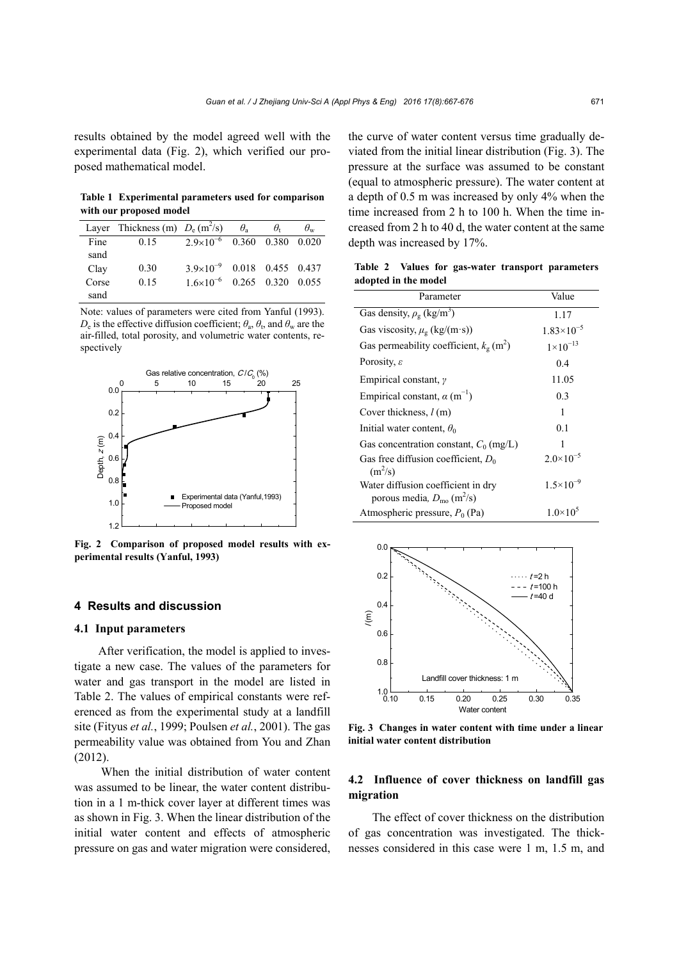results obtained by the model agreed well with the experimental data (Fig. 2), which verified our proposed mathematical model.

**Table 1 Experimental parameters used for comparison with our proposed model** 

|       | Layer Thickness (m) $D_e$ (m <sup>2</sup> /s) |                                        | $\theta_{\rm a}$ | $\theta$          | $\theta_{w}$ |
|-------|-----------------------------------------------|----------------------------------------|------------------|-------------------|--------------|
| Fine  | 0.15                                          | $2.9 \times 10^{-6}$ 0.360 0.380 0.020 |                  |                   |              |
| sand  |                                               |                                        |                  |                   |              |
| Clay  | 0.30                                          | $3.9 \times 10^{-9}$ 0.018 0.455 0.437 |                  |                   |              |
| Corse | 0.15                                          | $1.6\times10^{-6}$                     |                  | 0.265 0.320 0.055 |              |
| sand  |                                               |                                        |                  |                   |              |

Note: values of parameters were cited from Yanful (1993).  $D_e$  is the effective diffusion coefficient;  $\theta_a$ ,  $\theta_t$ , and  $\theta_w$  are the air-filled, total porosity, and volumetric water contents, respectively



**Fig. 2 Comparison of proposed model results with experimental results (Yanful, 1993)** 

## **4 Results and discussion**

#### **4.1 Input parameters**

After verification, the model is applied to investigate a new case. The values of the parameters for water and gas transport in the model are listed in Table 2. The values of empirical constants were referenced as from the experimental study at a landfill site (Fityus *et al.*, 1999; Poulsen *et al.*, 2001). The gas permeability value was obtained from You and Zhan  $(2012)$ 

 When the initial distribution of water content was assumed to be linear, the water content distribution in a 1 m-thick cover layer at different times was as shown in Fig. 3. When the linear distribution of the initial water content and effects of atmospheric pressure on gas and water migration were considered, the curve of water content versus time gradually deviated from the initial linear distribution (Fig. 3). The pressure at the surface was assumed to be constant (equal to atmospheric pressure). The water content at a depth of 0.5 m was increased by only 4% when the time increased from 2 h to 100 h. When the time increased from 2 h to 40 d, the water content at the same depth was increased by 17%.

**Table 2 Values for gas-water transport parameters adopted in the model** 

| Parameter                                                                               | Value                |  |
|-----------------------------------------------------------------------------------------|----------------------|--|
| Gas density, $\rho_{\rm g}$ (kg/m <sup>3</sup> )                                        | 1.17                 |  |
| Gas viscosity, $\mu_{\rm g}$ (kg/(m·s))                                                 | $1.83\times10^{-5}$  |  |
| Gas permeability coefficient, $k_g$ (m <sup>2</sup> )                                   | $1 \times 10^{-13}$  |  |
| Porosity, $\varepsilon$                                                                 | 0.4                  |  |
| Empirical constant, $\gamma$                                                            | 11.05                |  |
| Empirical constant, $\alpha$ (m <sup>-1</sup> )                                         | 0.3                  |  |
| Cover thickness, $l$ (m)                                                                | 1                    |  |
| Initial water content, $\theta_0$                                                       | 0.1                  |  |
| Gas concentration constant, $C_0$ (mg/L)                                                | 1                    |  |
| Gas free diffusion coefficient, $D_0$<br>$(m^2/s)$                                      | $2.0\times10^{-5}$   |  |
| Water diffusion coefficient in dry<br>porous media, $D_{\text{mo}}$ (m <sup>2</sup> /s) | $1.5 \times 10^{-9}$ |  |
| Atmospheric pressure, $P_0$ (Pa)                                                        | $1.0\times10^{5}$    |  |



**Fig. 3 Changes in water content with time under a linear initial water content distribution**

## **4.2 Influence of cover thickness on landfill gas migration**

The effect of cover thickness on the distribution of gas concentration was investigated. The thicknesses considered in this case were 1 m, 1.5 m, and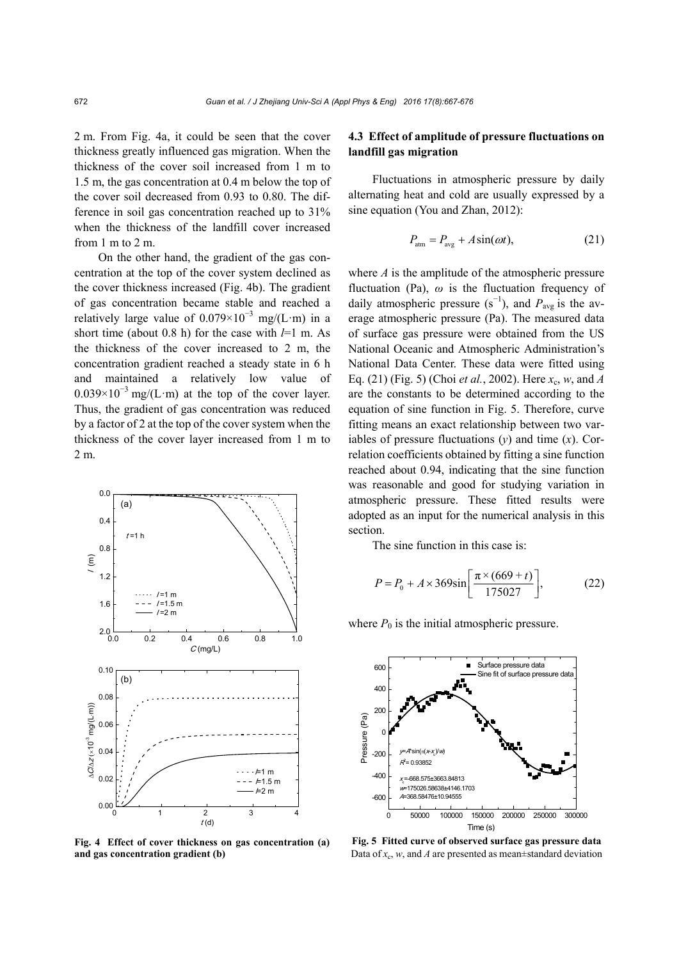2 m. From Fig. 4a, it could be seen that the cover thickness greatly influenced gas migration. When the thickness of the cover soil increased from 1 m to 1.5 m, the gas concentration at 0.4 m below the top of the cover soil decreased from 0.93 to 0.80. The difference in soil gas concentration reached up to 31% when the thickness of the landfill cover increased from 1 m to 2 m.

On the other hand, the gradient of the gas concentration at the top of the cover system declined as the cover thickness increased (Fig. 4b). The gradient of gas concentration became stable and reached a relatively large value of  $0.079 \times 10^{-3}$  mg/(L·m) in a short time (about 0.8 h) for the case with *l*=1 m. As the thickness of the cover increased to 2 m, the concentration gradient reached a steady state in 6 h and maintained a relatively low value of  $0.039 \times 10^{-3}$  mg/(L·m) at the top of the cover layer. Thus, the gradient of gas concentration was reduced by a factor of 2 at the top of the cover system when the thickness of the cover layer increased from 1 m to 2 m.



**Fig. 4 Effect of cover thickness on gas concentration (a) and gas concentration gradient (b)**

# **4.3 Effect of amplitude of pressure fluctuations on landfill gas migration**

Fluctuations in atmospheric pressure by daily alternating heat and cold are usually expressed by a sine equation (You and Zhan, 2012):

$$
P_{\text{atm}} = P_{\text{avg}} + A\sin(\omega t),\tag{21}
$$

where *A* is the amplitude of the atmospheric pressure fluctuation (Pa), *ω* is the fluctuation frequency of daily atmospheric pressure  $(s^{-1})$ , and  $P_{avg}$  is the average atmospheric pressure (Pa). The measured data of surface gas pressure were obtained from the US National Oceanic and Atmospheric Administration's National Data Center. These data were fitted using Eq. (21) (Fig. 5) (Choi *et al.*, 2002). Here *x*c, *w*, and *A* are the constants to be determined according to the equation of sine function in Fig. 5. Therefore, curve fitting means an exact relationship between two variables of pressure fluctuations (*y*) and time (*x*). Correlation coefficients obtained by fitting a sine function reached about 0.94, indicating that the sine function was reasonable and good for studying variation in atmospheric pressure. These fitted results were adopted as an input for the numerical analysis in this section.

The sine function in this case is:

$$
P = P_0 + A \times 369 \sin\left[\frac{\pi \times (669 + t)}{175027}\right],\tag{22}
$$

where  $P_0$  is the initial atmospheric pressure.



**Fig. 5 Fitted curve of observed surface gas pressure data** Data of  $x_c$ , *w*, and *A* are presented as mean $\pm$ standard deviation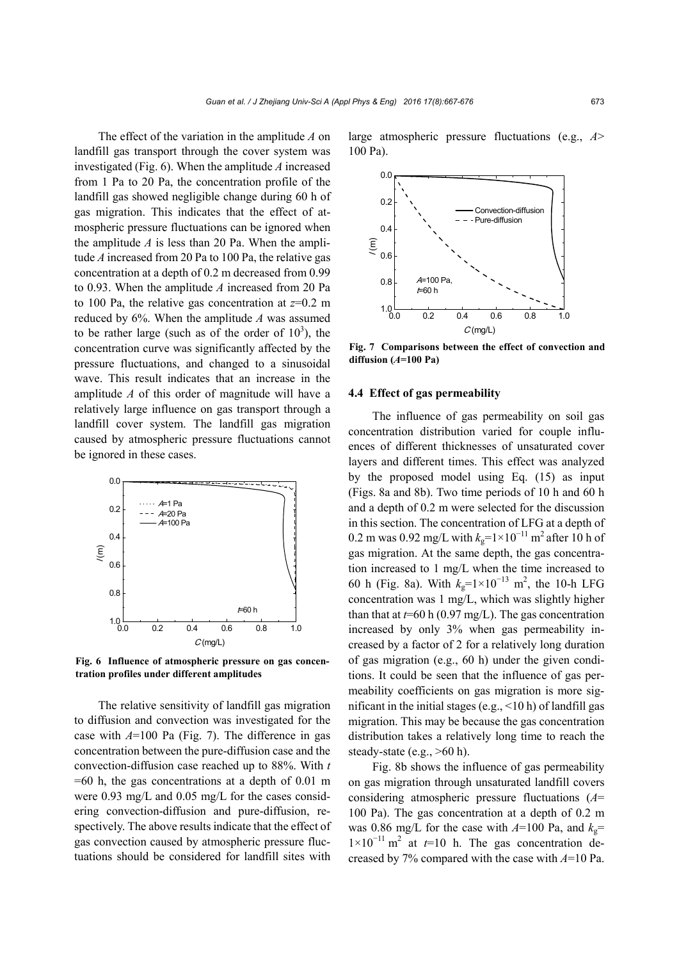The effect of the variation in the amplitude *A* on landfill gas transport through the cover system was investigated (Fig. 6). When the amplitude *A* increased from 1 Pa to 20 Pa, the concentration profile of the landfill gas showed negligible change during 60 h of gas migration. This indicates that the effect of atmospheric pressure fluctuations can be ignored when the amplitude *A* is less than 20 Pa. When the amplitude *A* increased from 20 Pa to 100 Pa, the relative gas concentration at a depth of 0.2 m decreased from 0.99 to 0.93. When the amplitude *A* increased from 20 Pa to 100 Pa, the relative gas concentration at *z*=0.2 m reduced by 6%. When the amplitude *A* was assumed to be rather large (such as of the order of  $10<sup>3</sup>$ ), the concentration curve was significantly affected by the pressure fluctuations, and changed to a sinusoidal wave. This result indicates that an increase in the amplitude *A* of this order of magnitude will have a relatively large influence on gas transport through a landfill cover system. The landfill gas migration caused by atmospheric pressure fluctuations cannot be ignored in these cases.



**Fig. 6 Influence of atmospheric pressure on gas concentration profiles under different amplitudes** 

The relative sensitivity of landfill gas migration to diffusion and convection was investigated for the case with *A*=100 Pa (Fig. 7). The difference in gas concentration between the pure-diffusion case and the convection-diffusion case reached up to 88%. With *t*   $=60$  h, the gas concentrations at a depth of 0.01 m were 0.93 mg/L and 0.05 mg/L for the cases considering convection-diffusion and pure-diffusion, respectively. The above results indicate that the effect of gas convection caused by atmospheric pressure fluctuations should be considered for landfill sites with

large atmospheric pressure fluctuations (e.g., *A*> 100 Pa).



**Fig. 7 Comparisons between the effect of convection and diffusion (***A***=100 Pa)** 

## **4.4 Effect of gas permeability**

The influence of gas permeability on soil gas concentration distribution varied for couple influences of different thicknesses of unsaturated cover layers and different times. This effect was analyzed by the proposed model using Eq. (15) as input (Figs. 8a and 8b). Two time periods of 10 h and 60 h and a depth of 0.2 m were selected for the discussion in this section. The concentration of LFG at a depth of 0.2 m was 0.92 mg/L with  $k_g$ =1×10<sup>-11</sup> m<sup>2</sup> after 10 h of gas migration. At the same depth, the gas concentration increased to 1 mg/L when the time increased to 60 h (Fig. 8a). With  $k_g=1\times10^{-13}$  m<sup>2</sup>, the 10-h LFG concentration was 1 mg/L, which was slightly higher than that at  $t=60$  h (0.97 mg/L). The gas concentration increased by only 3% when gas permeability increased by a factor of 2 for a relatively long duration of gas migration (e.g., 60 h) under the given conditions. It could be seen that the influence of gas permeability coefficients on gas migration is more significant in the initial stages (e.g.,  $\leq 10$  h) of landfill gas migration. This may be because the gas concentration distribution takes a relatively long time to reach the steady-state (e.g.,  $>60$  h).

Fig. 8b shows the influence of gas permeability on gas migration through unsaturated landfill covers considering atmospheric pressure fluctuations (*A*= 100 Pa). The gas concentration at a depth of 0.2 m was 0.86 mg/L for the case with  $A=100$  Pa, and  $k_g$ =  $1\times10^{-11}$  m<sup>2</sup> at  $t=10$  h. The gas concentration decreased by 7% compared with the case with *A*=10 Pa.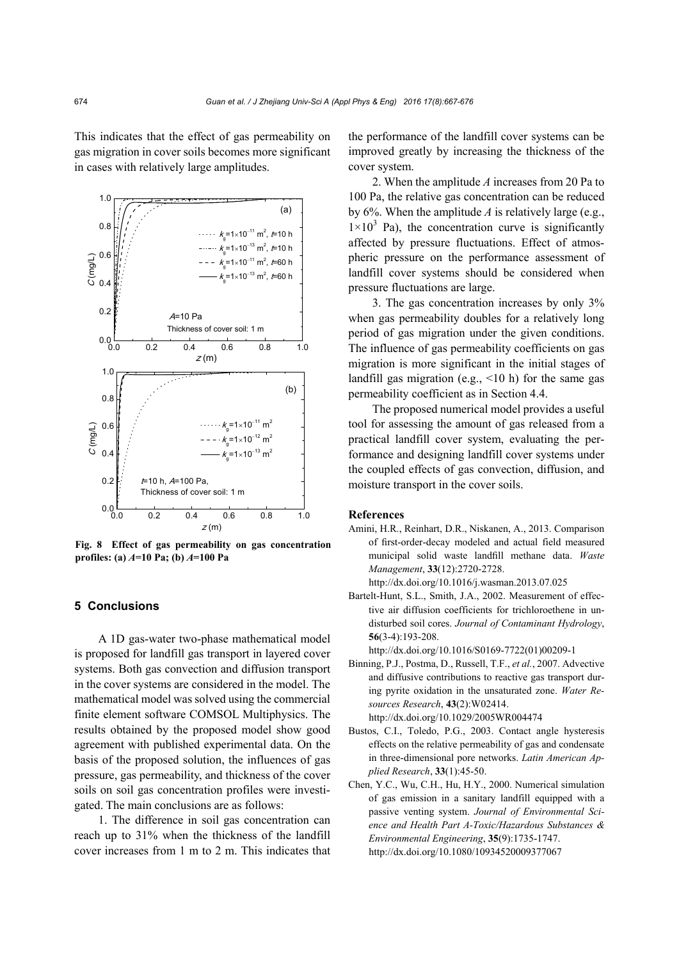This indicates that the effect of gas permeability on gas migration in cover soils becomes more significant in cases with relatively large amplitudes.



**Fig. 8 Effect of gas permeability on gas concentration profiles: (a)** *A***=10 Pa; (b)** *A***=100 Pa** 

# **5 Conclusions**

A 1D gas-water two-phase mathematical model is proposed for landfill gas transport in layered cover systems. Both gas convection and diffusion transport in the cover systems are considered in the model. The mathematical model was solved using the commercial finite element software COMSOL Multiphysics. The results obtained by the proposed model show good agreement with published experimental data. On the basis of the proposed solution, the influences of gas pressure, gas permeability, and thickness of the cover soils on soil gas concentration profiles were investigated. The main conclusions are as follows:

1. The difference in soil gas concentration can reach up to 31% when the thickness of the landfill cover increases from 1 m to 2 m. This indicates that the performance of the landfill cover systems can be improved greatly by increasing the thickness of the cover system.

2. When the amplitude *A* increases from 20 Pa to 100 Pa, the relative gas concentration can be reduced by 6%. When the amplitude *A* is relatively large (e.g.,  $1\times10^3$  Pa), the concentration curve is significantly affected by pressure fluctuations. Effect of atmospheric pressure on the performance assessment of landfill cover systems should be considered when pressure fluctuations are large.

3. The gas concentration increases by only 3% when gas permeability doubles for a relatively long period of gas migration under the given conditions. The influence of gas permeability coefficients on gas migration is more significant in the initial stages of landfill gas migration (e.g.,  $\leq 10$  h) for the same gas permeability coefficient as in Section 4.4.

The proposed numerical model provides a useful tool for assessing the amount of gas released from a practical landfill cover system, evaluating the performance and designing landfill cover systems under the coupled effects of gas convection, diffusion, and moisture transport in the cover soils.

#### **References**

- Amini, H.R., Reinhart, D.R., Niskanen, A., 2013. Comparison of first-order-decay modeled and actual field measured municipal solid waste landfill methane data. *Waste Management*, **33**(12):2720-2728.
- http://dx.doi.org/10.1016/j.wasman.2013.07.025
- Bartelt-Hunt, S.L., Smith, J.A., 2002. Measurement of effective air diffusion coefficients for trichloroethene in undisturbed soil cores. *Journal of Contaminant Hydrology*, **56**(3-4):193-208.

http://dx.doi.org/10.1016/S0169-7722(01)00209-1

- Binning, P.J., Postma, D., Russell, T.F., *et al.*, 2007. Advective and diffusive contributions to reactive gas transport during pyrite oxidation in the unsaturated zone. *Water Resources Research*, **43**(2):W02414. http://dx.doi.org/10.1029/2005WR004474
- Bustos, C.I., Toledo, P.G., 2003. Contact angle hysteresis effects on the relative permeability of gas and condensate in three-dimensional pore networks. *Latin American Applied Research*, **33**(1):45-50.
- Chen, Y.C., Wu, C.H., Hu, H.Y., 2000. Numerical simulation of gas emission in a sanitary landfill equipped with a passive venting system. *Journal of Environmental Science and Health Part A-Toxic/Hazardous Substances & Environmental Engineering*, **35**(9):1735-1747. http://dx.doi.org/10.1080/10934520009377067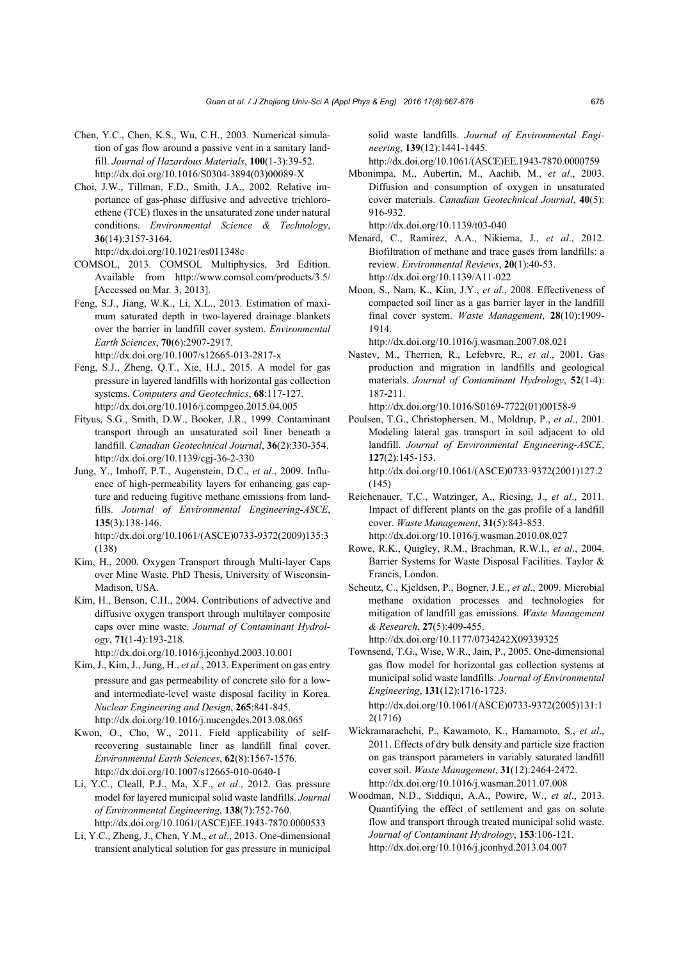- Chen, Y.C., Chen, K.S., Wu, C.H., 2003. Numerical simulation of gas flow around a passive vent in a sanitary landfill. *Journal of Hazardous Materials*, **100**(1-3):39-52. http://dx.doi.org/10.1016/S0304-3894(03)00089-X
- Choi, J.W., Tillman, F.D., Smith, J.A., 2002. Relative importance of gas-phase diffusive and advective trichloroethene (TCE) fluxes in the unsaturated zone under natural conditions. *Environmental Science & Technology*, **36**(14):3157-3164.

http://dx.doi.org/10.1021/es011348c

- COMSOL, 2013. COMSOL Multiphysics, 3rd Edition. Available from http://www.comsol.com/products/3.5/ [Accessed on Mar. 3, 2013].
- Feng, S.J., Jiang, W.K., Li, X.L., 2013. Estimation of maximum saturated depth in two-layered drainage blankets over the barrier in landfill cover system. *Environmental Earth Sciences*, **70**(6):2907-2917. http://dx.doi.org/10.1007/s12665-013-2817-x
- Feng, S.J., Zheng, Q.T., Xie, H.J., 2015. A model for gas pressure in layered landfills with horizontal gas collection systems. *Computers and Geotechnics*, **68**:117-127. http://dx.doi.org/10.1016/j.compgeo.2015.04.005
- Fityus, S.G., Smith, D.W., Booker, J.R., 1999. Contaminant transport through an unsaturated soil liner beneath a landfill. *Canadian Geotechnical Journal*, **36**(2):330-354. http://dx.doi.org/10.1139/cgj-36-2-330
- Jung, Y., Imhoff, P.T., Augenstein, D.C., *et al*., 2009. Influence of high-permeability layers for enhancing gas capture and reducing fugitive methane emissions from landfills. *Journal of Environmental Engineering-ASCE*, **135**(3):138-146.

http://dx.doi.org/10.1061/(ASCE)0733-9372(2009)135:3 (138)

- Kim, H., 2000. Oxygen Transport through Multi-layer Caps over Mine Waste. PhD Thesis, University of Wisconsin-Madison, USA.
- Kim, H., Benson, C.H., 2004. Contributions of advective and diffusive oxygen transport through multilayer composite caps over mine waste. *Journal of Contaminant Hydrology*, **71**(1-4):193-218.

http://dx.doi.org/10.1016/j.jconhyd.2003.10.001

- Kim, J., Kim, J., Jung, H., *et al*., 2013. Experiment on gas entry pressure and gas permeability of concrete silo for a lowand intermediate-level waste disposal facility in Korea. *Nuclear Engineering and Design*, **265**:841-845. http://dx.doi.org/10.1016/j.nucengdes.2013.08.065
- Kwon, O., Cho, W., 2011. Field applicability of selfrecovering sustainable liner as landfill final cover. *Environmental Earth Sciences*, **62**(8):1567-1576. http://dx.doi.org/10.1007/s12665-010-0640-1
- Li, Y.C., Cleall, P.J., Ma, X.F., *et al*., 2012. Gas pressure model for layered municipal solid waste landfills. *Journal of Environmental Engineering*, **138**(7):752-760. http://dx.doi.org/10.1061/(ASCE)EE.1943-7870.0000533
- Li, Y.C., Zheng, J., Chen, Y.M., *et al*., 2013. One-dimensional transient analytical solution for gas pressure in municipal

solid waste landfills. *Journal of Environmental Engineering*, **139**(12):1441-1445.

http://dx.doi.org/10.1061/(ASCE)EE.1943-7870.0000759

Mbonimpa, M., Aubertin, M., Aachib, M., *et al*., 2003. Diffusion and consumption of oxygen in unsaturated cover materials. *Canadian Geotechnical Journal*, **40**(5): 916-932.

http://dx.doi.org/10.1139/t03-040

- Menard, C., Ramirez, A.A., Nikiema, J., *et al*., 2012. Biofiltration of methane and trace gases from landfills: a review. *Environmental Reviews*, **20**(1):40-53. http://dx.doi.org/10.1139/A11-022
- Moon, S., Nam, K., Kim, J.Y., *et al*., 2008. Effectiveness of compacted soil liner as a gas barrier layer in the landfill final cover system. *Waste Management*, **28**(10):1909- 1914.

http://dx.doi.org/10.1016/j.wasman.2007.08.021

Nastev, M., Therrien, R., Lefebvre, R., *et al*., 2001. Gas production and migration in landfills and geological materials. *Journal of Contaminant Hydrology*, **52**(1-4): 187-211.

http://dx.doi.org/10.1016/S0169-7722(01)00158-9

Poulsen, T.G., Christophersen, M., Moldrup, P., *et al*., 2001. Modeling lateral gas transport in soil adjacent to old landfill. *Journal of Environmental Engineering-ASCE*, **127**(2):145-153.

http://dx.doi.org/10.1061/(ASCE)0733-9372(2001)127:2 (145)

- Reichenauer, T.C., Watzinger, A., Riesing, J., *et al*., 2011. Impact of different plants on the gas profile of a landfill cover. *Waste Management*, **31**(5):843-853. http://dx.doi.org/10.1016/j.wasman.2010.08.027
- Rowe, R.K., Quigley, R.M., Brachman, R.W.I., *et al*., 2004. Barrier Systems for Waste Disposal Facilities. Taylor & Francis, London.
- Scheutz, C., Kjeldsen, P., Bogner, J.E., *et al*., 2009. Microbial methane oxidation processes and technologies for mitigation of landfill gas emissions. *Waste Management & Research*, **27**(5):409-455.

http://dx.doi.org/10.1177/0734242X09339325

Townsend, T.G., Wise, W.R., Jain, P., 2005. One-dimensional gas flow model for horizontal gas collection systems at municipal solid waste landfills. *Journal of Environmental Engineering*, **131**(12):1716-1723.

http://dx.doi.org/10.1061/(ASCE)0733-9372(2005)131:1 2(1716)

- Wickramarachchi, P., Kawamoto, K., Hamamoto, S., *et al*., 2011. Effects of dry bulk density and particle size fraction on gas transport parameters in variably saturated landfill cover soil. *Waste Management*, **31**(12):2464-2472. http://dx.doi.org/10.1016/j.wasman.2011.07.008
- Woodman, N.D., Siddiqui, A.A., Powire, W., *et al*., 2013. Quantifying the effect of settlement and gas on solute flow and transport through treated municipal solid waste. *Journal of Contaminant Hydrology*, **153**:106-121. http://dx.doi.org/10.1016/j.jconhyd.2013.04.007